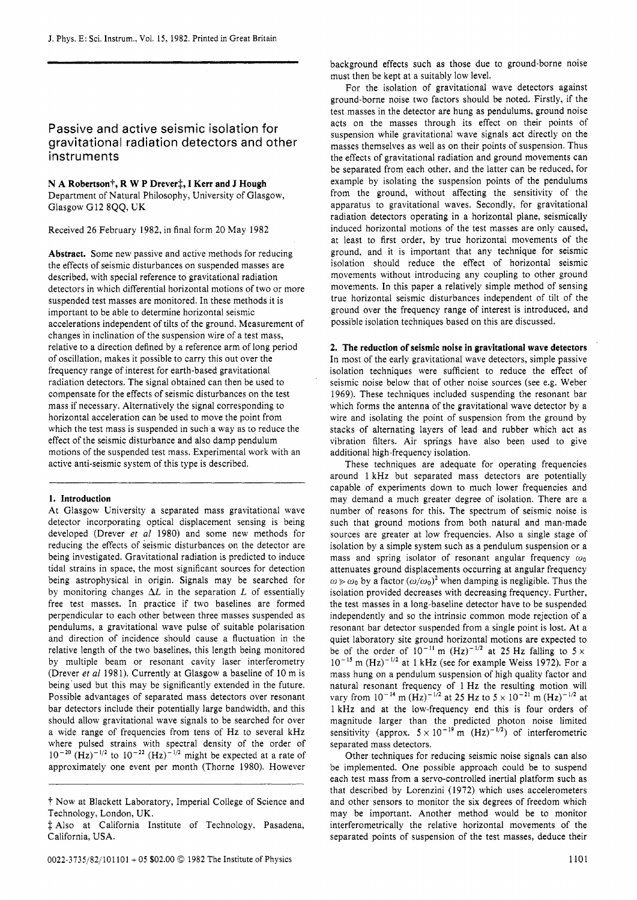# Passive and active seismic isolation for gravitational radiation detectors and other instruments

**N A Robertson?, R W P Drevert, I Kerr and J Hough**  Department of Natural Philosophy, University of Glasgow. Glasgow G12 8QQ. UK

Received 26 February 1982, in final form 20 May 1982

**Abstract.** Some new passive and active methods for reducing the effects of seismic disturbances on suspended masses are described, with special reference to gravitational radiation detectors in which differential horizontal motions of two or more suspended test masses are monitored. In these methods it is important to be able to determine horizontal seismic accelerations independent of tilts of the ground. Measurement of changes in inclination of the suspension wire of a test mass, relative to a direction defined by a reference arm of long period of oscillation, makes it possible to carry this out over the frequency range of interest for earth-based gravitational radiation detectors. The signal obtained can then be used to compensate for the effects of seismic disturbances on the test mass if necessary. Alternatively the signal corresponding to horizontal acceleration can be used to move the point from which the test mass is suspended in such a way as to reduce the effect of the seismic disturbance and also damp pendulum motions of the suspended test mass. Experimental work with an active anti-seismic system of this type is described.

#### **1. Introduction**

At Glasgow University a separated mass gravitational wave detector incorporating optical displacement sensing is being developed (Drever *et a1* 1980) and some new methods for reducing the effects of seismic disturbances on the detector are being investigated. Gravitational radiation is predicted to induce tidal strains in space, the most significant sources for detection being astrophysical in origin. Signals may be searched for by monitoring changes  $\Delta L$  in the separation  $L$  of essentially free test masses. In practice if two baselines are formed perpendicular to each other between three masses suspended as pendulums, a gravitational wave pulse of suitable polarisation and direction of incidence should cause a fluctuation in the relative length of the two baselines, this length being monitored by multiple beam or resonant cavity laser interferometry (Drever *et a1* 198 1). Currently at Glasgow a baseline of 10 m is being'used but this may be significantly extended in the future. Possible advantages of separated mass detectors over resonant bar detectors include their potentially large bandwidth, and this should allow gravitational wave signals to be searched for over a wide range of frequencies from tens of Hz to several kHz where pulsed strains with spectral density of the order of  $(Hz)^{-1/2}$  to  $10^{-22}$   $(Hz)^{-1/2}$  might be expected at a rate of approximately one event per month (Thorne 1980). However

background effects such as those due to ground-borne noise must then be kept at a suitably low level.

For the isolation of gravitational wave detectors against ground-borne noise two factors should be noted. Firstly, if the test masses in the detector are hung as pendulums, ground noise acts on the masses through its effect on their points of suspension while gravitational wave signals act directly on the masses themselves as well as on their points of suspension. Thus the effects of gravitational radiation and ground movements can be separated from each other, and the latter can be reduced, for example by isolating the suspension points of the pendulums from the ground, without affecting the sensitivity of the apparatus to gravitational waves. Secondly, for gravitational radiation detectors operating in a horizontal plane, seismically induced horizontal motions of the test masses are only caused, at least to first order, by true horizontal movements of the ground, and it is important that any technique for seismic isolation should reduce the effect of horizontal seismic movements without introducing any coupling to other ground movements. In this paper a relatively simple method of sensing true horizontal seismic disturbances independent of tilt of the ground over the frequency range of interest is introduced, and possible isolation techniques based on this are discussed.

**2. The reduction of seismic noise in gravitational wave detectors**  In most of the early gravitational wave detectors, simple passive isolation techniques were sufficient to reduce the effect of seismic noise below that of other noise sources (see e.g. Weber 1969). These techniques included suspending the resonant bar which forms the antenna of the gravitational wave detector by a wire and isolating the point of suspension from the ground by stacks of alternating layers of lead and rubber which act as vibration filters. Air springs have also been used to give additional high-frequency isolation.

These techniques are adequate for operating frequencies around 1 kHz but separated mass detectors are potentially capable of experiments down to much lower frequencies and may demand a much greater degree of isolation. There are a number of reasons for this. The spectrum of seismic noise is such that ground motions from both natural and man-made sources are greater at low frequencies. Also a single stage of isolation by a simple system such as a pendulum suspension or a mass and spring isolator of resonant angular frequency  $\omega_0$ attenuates ground displacements occurring at angular frequency  $\omega \gg \omega_0$  by a factor  $(\omega/\omega_0)^2$  when damping is negligible. Thus the isolation provided decreases with decreasing frequency. Further, the test masses in a long-baseline detector have to be suspended independently and so the intrinsic common mode rejection of a resonant bar detector suspended from a single point is lost. At a quiet laboratory site ground horizontal motions are expected to be of the order of  $10^{-11}$  m  $(Hz)^{-1/2}$  at 25 Hz falling to  $5 \times$  $10^{-15}$  m (Hz)<sup>-1/2</sup> at 1 kHz (see for example Weiss 1972). For a mass hung on a pendulum suspension of high quality factor and natural resonant frequency of 1 Hz the resulting motion will vary from  $10^{-14}$  m  $(Hz)^{-1/2}$  at 25 Hz to  $5 \times 10^{-21}$  m  $(Hz)^{-1/2}$  at 1 kHz and at the low-frequency end this is four orders of magnitude larger than the predicted photon noise limited sensitivity (approx.  $5 \times 10^{-19}$  m (Hz)<sup>-1/2</sup>) of interferometric separated mass detectors.

Other techniques for reducing seismic noise signals can also be implemented. One possible approach could be to suspend each test mass from a servo-controlled inertial platform such as that described by Lorenzini (1972) which uses accelerometers and other sensors to monitor the six degrees of freedom which may be important. Another method would be to monitor interferometrically the relative horizontal movements of the separated points of suspension of the test masses, deduce their

<sup>?</sup> Now at Blackett Laboratory, Imperial College of Science and Technology, London, UK.

*f* Also at California Institute of Technology, Pasadena, California, USA.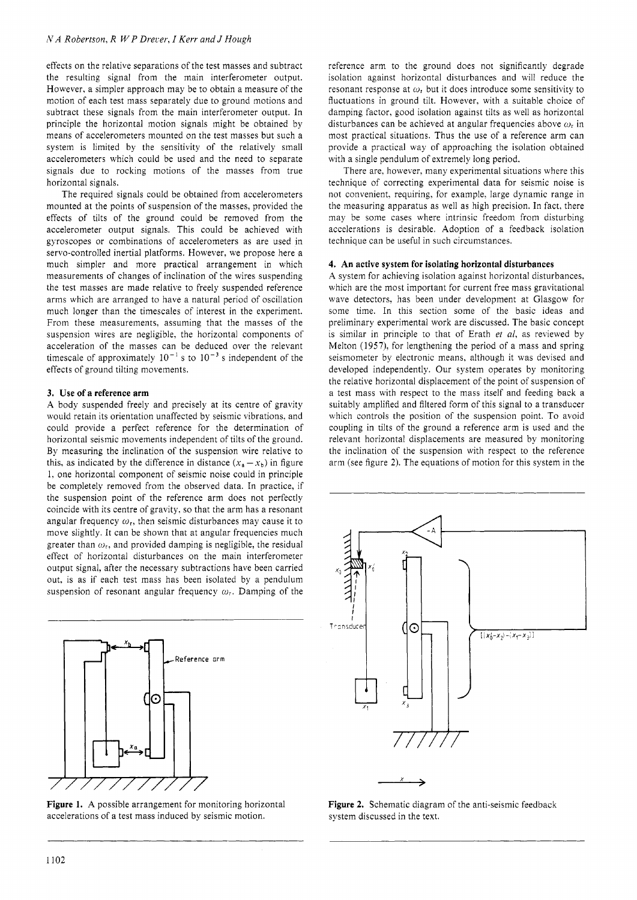effects on the relative separations of the test masses and subtract the resulting signal from the main interferometer output. However, a simpler approach may be to obtain a measure of the motion of each test mass separately due to ground motions and subtract these signals from the main interferometer output. In principle the horizontal motion signals might be obtained by means of accelerometers mounted on the test masses but such a system is limited by the sensitivity of the relatively small accelerometers which could be used and the need to separate signals due to rocking motions of the masses from true horizontal signals.

The required signals could be obtained from accelerometers mounted at the points of suspension of the masses, provided the effects of tilts of the ground could be removed from the accelerometer output signals. This could be achieved with gyroscopes or combinations of accelerometers as are used in servo-controlled inertial platforms. However. we propose here a much simpler and more practical arrangement in which measurements of changes of inclination of the wires suspending the test masses are made relative to freely suspended reference arms which are arranged to have a natural period of oscillation much longer than the timescales of interest in the experiment. From these measurements. assuming that the masses of the suspension wires are negligible, the horizontal components of acceleration of the masses can be deduced over the relevant timescale of approximately  $10^{-1}$  s to  $10^{-3}$  s independent of the effects of ground tilting movements.

## **3. Use of a reference arm**

A body suspended freely and precisely at its centre of gravity would retain its orientation unaffected by seismic vibrations. and could provide a perfect reference for the determination of horizontal seismic movements independent of tilts of the ground. By measuring the inclination of the suspension wire relative to this, as indicated by the difference in distance  $(x_a - x_b)$  in figure 1. one horizontal component of seismic noise could in principle be completely removed from the observed data. In practice, if the suspension point of the reference arm does not perfectly coincide with its centre of gravity, so that the arm has a resonant angular frequency  $\omega_r$ , then seismic disturbances may cause it to move slightly. It can be shown that at angular frequencies much greater than  $\omega_r$ , and provided damping is negligible, the residual effect of horizontal disturbances on the main interferometer output signal, after the necessary subtractions have been carried out, is as if each test mass has been isolated by a pendulum suspension of resonant angular frequency  $\omega_r$ . Damping of the



**Figure 1.** A possible arrangement for monitoring horizontal accelerations of a test mass induced by seismic motion.

reference arm to the ground does not significantly degrade isolation against horizontal disturbances and will reduce the resonant response at  $\omega_r$  but it does introduce some sensitivity to fluctuations in ground tilt. However, with a suitable choice of damping factor, good isolation against tilts as well as horizontal disturbances can be achieved at angular frequencies above  $\omega_r$  in most practical situations. Thus the use of a reference arm can provide a practical way of approaching the isolation obtained with a single pendulum of extremely long period.

There are, however, many experimental situations where this technique of correcting experimental data for seismic noise is not convenient, requiring. for example. large dynamic range in the measuring apparatus as well as high precision. In fact, there may be some cases where intrinsic freedom from disturbing accelerations is desirable. Adoption of a feedback isolation technique can be useful in such circumstances.

## **4. An active system for isolating horizontal disturbances**

**A** system for achieving isolation against horizontal disturbances. which are the most important for current free mass gravitational wave detectors, has been under development at Glasgow for some time. In this section some of the basic ideas and preliminary experimental work are discussed. The basic concept is similar in principle to that of Erath *et al,* as reviewed by Melton **(1957):** for lengthening the period of a mass and spring seismometer by electronic means, although it was devised and developed independently. Our system operates by monitoring the relative horizontal displacement of the point of suspension of a test mass with respect to the mass itself and feeding back a suitably amplified and filtered form of this signal to a transducer which controls the position of the suspension point. To avoid coupling in tilts of the ground a reference arm is used and the relevant horizontal displacements are measured by monitoring the inclination of the suspension with respect to the reference arm (see figure **2).** The equations of motion for this system in the



**Figure 2.** Schematic diagram of the anti-seismic feedback system discussed in the text.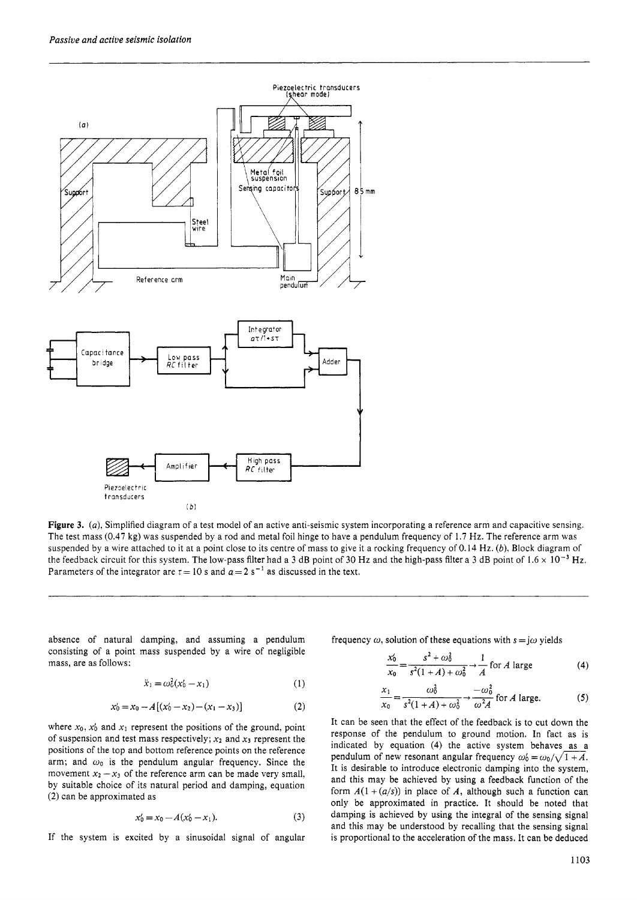

**Figure 3.** *(a),* Simplified diagram of a test model of an active anti-seismic system incorporating a reference arm and capacitive sensing. The test mass **(0.47** kg) was suspended by a rod and metal foil hinge to have a pendulum frequency of 1.7 Hz. The reference arm was suspended by a wire attached to it at a point close to its centre of mass to give it a rocking frequency of 0.14 Hz. *(b).* Block diagram of the feedback circuit for this system. The low-pass filter had a 3 dB point of 30 Hz and the high-pass filter a 3 dB point of  $1.6 \times 10^{-3}$  Hz. Parameters of the integrator are  $\tau = 10$  s and  $a = 2$  s<sup>-1</sup> as discussed in the text.

absence of natural damping, and assuming a pendulum consisting of a point mass suspended by a wire of negligible mass, are as follows:

$$
\ddot{x}_1 = \omega_0^2 (x_0' - x_1) \tag{1}
$$

$$
x'_0 = x_0 - A[(x'_0 - x_2) - (x_1 - x_3)] \tag{2}
$$

where  $x_0$ ,  $x'_0$  and  $x_1$  represent the positions of the ground, point of suspension and test mass respectively;  $x_2$  and  $x_3$  represent the positions of the top and bottom reference points on the reference arm; and  $\omega_0$  is the pendulum angular frequency. Since the movement  $x_2 - x_3$  of the reference arm can be made very small, by suitable choice of its natural period and damping, equation *(2)* can be approximated as

$$
x'_0 = x_0 - A(x'_0 - x_1). \tag{3}
$$

If the system is excited by a sinusoidal signal of angular

frequency  $\omega$ , solution of these equations with  $s = j\omega$  yields

$$
\frac{x_0'}{x_0} = \frac{s^2 + \omega_0^2}{s^2(1 + A) + \omega_0^2} \rightarrow \frac{1}{A} \text{ for } A \text{ large} \tag{4}
$$

$$
\frac{x_1}{x_0} = \frac{\omega_0^2}{s^2(1+A) + \omega_0^2} \rightarrow \frac{-\omega_0^2}{\omega^2 A} \text{ for } A \text{ large.}
$$
 (5)

It can be seen that the effect of the feedback is to cut down the response of the pendulum to ground motion. In fact as is indicated by equation **(4)** the active system behaves as a pendulum of new resonant angular frequency  $\omega'_0 = \omega_0 / \sqrt{1+A}$ . It is desirable to introduce electronic damping into the system, and this may be achieved by using a feedback function of the form  $A(1 + (a/s))$  in place of A, although such a function can only be approximated in practice. It should be noted that damping is achieved by using the integral of the sensing signal and this may be understood by recalling that the sensing signal is proportional to the acceleration of the mass. It can be deduced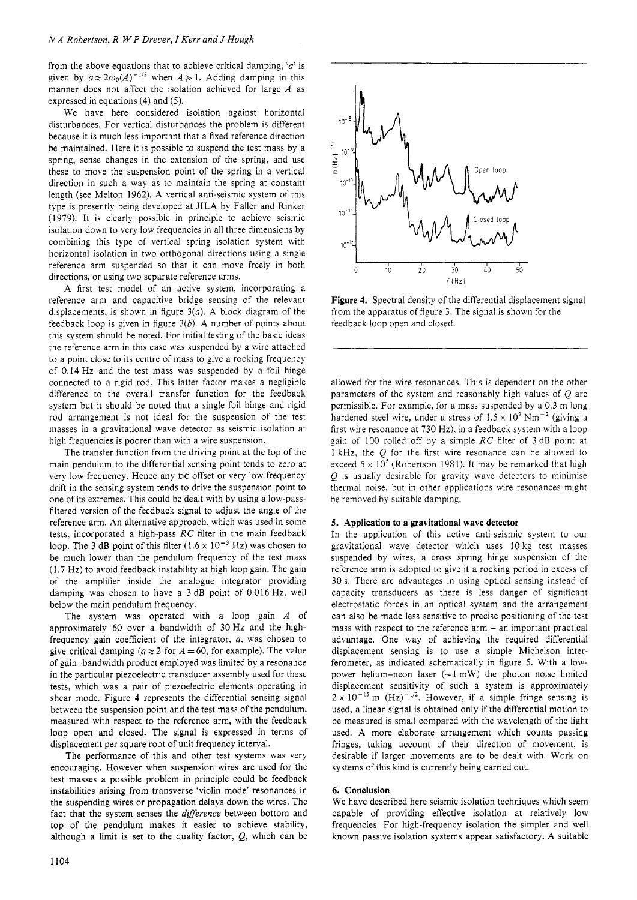from the above equations that to achieve critical damping, *'a'* is given by  $a \approx 2\omega_0(A)^{-1/2}$  when  $A \ge 1$ . Adding damping in this manner does not affect the isolation achieved for large *A* as expressed in equations (4) and (5).

We have here considered isolation against horizontal disturbances. For vertical disturbances the problem is different because it is much less important that a fixed reference direction be maintained. Here it is possible to suspend the test mass by a spring, sense changes in the extension of the spring. and use these to move the suspension point of the spring in a vertical direction in such a way as to maintain the spring at constant length (see Melton 1962). A vertical anti-seismic system of this type is presently being developed at JILA by Faller and Rinker (1979). It is clearly possible in principle to achieve seismic isolation down to very low frequencies in all three dimensions by combining this type of vertical spring isolation system with horizontal isolation in two orthogonal directions using a single reference arm suspended so that it can move freely in both directions, or using two separate reference arms.

A first test model of an active system. incorporating a reference arm and capacitive bridge sensing of the relevant displacements, is shown in figure *3(a).* A block diagram of the feedback loop is given in figure *3(b).* **A** number of points about this system should be noted. For initial testing of the basic ideas the reference arm in this case was suspended by a wire attached to a point close to its centre of mass to give a rocking frequency of 0.14 Hz and the test mass was suspended by a foil hinge connected to a rigid rod. This latter factor makes a negligible difference to the overall transfer function for the feedback system but it should be noted that a single foil hinge and rigid rod arrangement is not ideal for the suspension of the test masses in a gravitational wave detector as seismic isolation at high frequencies is poorer than with a wire suspension.

The transfer function from the driving point at the top of the main pendulum to the differential sensing point tends to zero at very low frequency. Hence any DC offset or very-low-frequency drift in the sensing system tends to drive the suspension point to one of its extremes. This could be dealt with by using a low-passfiltered version of the feedback signal to adjust the angle of the reference arm. An alternative approach. which was used in some tests, incorporated a high-pass *RC* filter in the main feedback loop. The 3 dB point of this filter  $(1.6 \times 10^{-3} \text{ Hz})$  was chosen to be much lower than the pendulum frequency of the test mass (1.7 Hz) to avoid feedback instability at high loop gain. The gain of the amplifier inside the analogue integrator providing damping was chosen to have a 3 dB point of 0.016 Hz, well below the main pendulum frequency.

The system was operated with a loop gain *A* of approximately 60 over a bandwidth of 30 Hz and the highfrequency gain coefficient of the integrator, *a,* was chosen to give critical damping  $(a \approx 2$  for  $A = 60$ , for example). The value of gain-bandwidth product employed was limited by a resonance in the particular piezoelectric transducer assembly used for these tests, which was a pair of piezoelectric elements operating in shear mode. Figure 4 represents the differential sensing signal between the suspension point and the test mass of the pendulum. measured with respect to the reference arm, with the feedback loop open and closed. The signal is expressed in terms of displacement per square root of unit frequency interval.

The performance of this and other test systems was very encouraging. However when suspension wires are used for the test masses a possible problem in principle could be feedback instabilities arising from transverse 'violin mode' resonances in the suspending wires or propagation delays down the wires. The fact that the system senses the *difference* between bottom and top of the pendulum makes it easier to achieve stability, although a limit is set to the quality factor,  $Q$ , which can be



**Figure 4.** Spectral density of the differential displacement signal from the apparatus of figure *3.* The signal is shown for the feedback loop open and closed.

allowed for the wire resonances. This is dependent on the other parameters of the system and reasonably high values of  $O$  are permissible. For example, for a mass suspended by a 0.3 m long hardened steel wire, under a stress of  $1.5 \times 10^9$  Nm<sup>-2</sup> (giving a first wire resonance at 730 Hz), in a feedback system with a loop gain of 100 rolled off by a simple *RC* filter of 3 dB point at 1 kHz, the Q for the first wire resonance can be allowed to exceed  $5 \times 10^5$  (Robertson 1981). It may be remarked that high *Q* is usually desirable for gravity wave detectors to minimise thermal noise, but in other applications wire resonances might be removed by suitable damping.

#### **5. Application to a gravitational wave detector**

In the application of this active anti-seismic system to our gravitational wave detector which uses 10 kg test masses suspended by wires. a cross spring hinge suspension of the reference arm is adopted to give it a rocking period in excess of 30 s. There are advantages in using optical sensing instead of capacity transducers as there is less danger of significant electrostatic forces in an optical system and the arrangement can also be made less sensitive to precise positioning of the test mass with respect to the reference arm – an important practical advantage. One way of achieving the required differential displacement sensing is to use a simple Michelson interferometer, as indicated schematically in figure 5. With a lowpower helium-neon laser  $(\sim 1 \text{ mW})$  the photon noise limited displacement sensitivity of such a system is approximately  $2 \times 10^{-15}$  m (Hz)<sup>-1/2</sup>. However, if a simple fringe sensing is used, a linear signal is obtained only if the differential motion to be measured is small compared with the wavelength of the light used. **A** more elaborate arrangement which counts passing fringes, taking account of their direction of movement, is desirable if larger movements are to be dealt with. Work on systems of this kind is currently being carried out.

### **6. Conclusion**

We have described here seismic isolation techniques which seem capable of providing effective isolation at relatively low frequencies. For high-frequency isolation the simpler and well known passive isolation systems appear satisfactory. **A** suitable